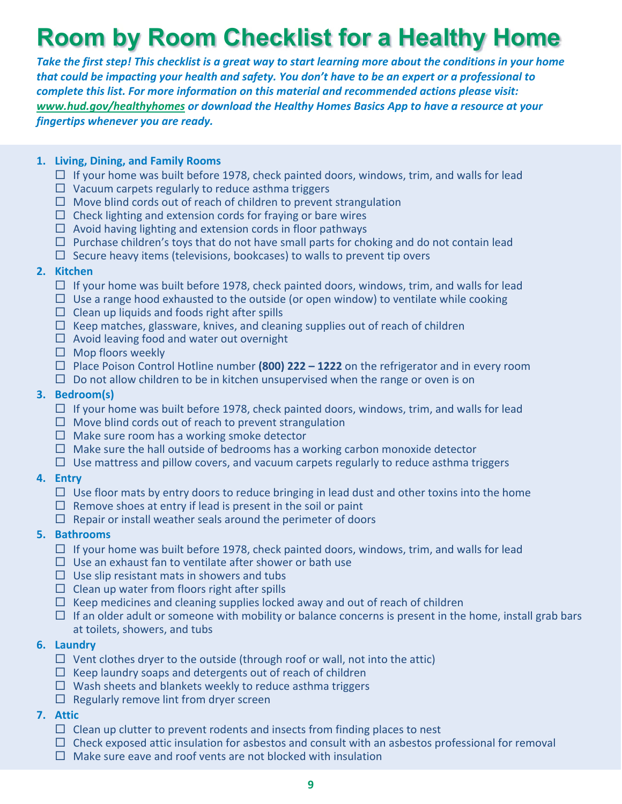# **Room by Room Checklist for a Healthy Home**

*Take the first step! This checklist is a great way to start learning more about the conditions in your home that could be impacting your health and safety. You don't have to be an expert or a professional to complete this list. For more information on this material and recommended actions please visit: www.hud.gov/healthyhomes or download the Healthy Homes Basics App to have a resource at your fingertips whenever you are ready.*

## **1. Living, Dining, and Family Rooms**

- $\Box$  If your home was built before 1978, check painted doors, windows, trim, and walls for lead
- $\Box$  Vacuum carpets regularly to reduce asthma triggers
- $\Box$  Move blind cords out of reach of children to prevent strangulation
- $\Box$  Check lighting and extension cords for fraying or bare wires
- $\Box$  Avoid having lighting and extension cords in floor pathways
- $\Box$  Purchase children's toys that do not have small parts for choking and do not contain lead
- $\Box$  Secure heavy items (televisions, bookcases) to walls to prevent tip overs

## **2. Kitchen**

- $\Box$  If your home was built before 1978, check painted doors, windows, trim, and walls for lead
- $\Box$  Use a range hood exhausted to the outside (or open window) to ventilate while cooking
- $\Box$  Clean up liquids and foods right after spills
- $\Box$  Keep matches, glassware, knives, and cleaning supplies out of reach of children
- $\Box$  Avoid leaving food and water out overnight
- $\Box$  Mop floors weekly
- $\Box$  Place Poison Control Hotline number **(800) 222 1222** on the refrigerator and in every room
- $\Box$  Do not allow children to be in kitchen unsupervised when the range or oven is on

## **3. Bedroom(s)**

- $\Box$  If your home was built before 1978, check painted doors, windows, trim, and walls for lead
- $\Box$  Move blind cords out of reach to prevent strangulation
- $\Box$  Make sure room has a working smoke detector
- $\Box$  Make sure the hall outside of bedrooms has a working carbon monoxide detector
- $\Box$  Use mattress and pillow covers, and vacuum carpets regularly to reduce asthma triggers

## **4. Entry**

- $\Box$  Use floor mats by entry doors to reduce bringing in lead dust and other toxins into the home
- $\Box$  Remove shoes at entry if lead is present in the soil or paint
- $\Box$  Repair or install weather seals around the perimeter of doors

## **5. Bathrooms**

- $\Box$  If your home was built before 1978, check painted doors, windows, trim, and walls for lead
- $\Box$  Use an exhaust fan to ventilate after shower or bath use
- $\Box$  Use slip resistant mats in showers and tubs
- $\square$  Clean up water from floors right after spills
- $\Box$  Keep medicines and cleaning supplies locked away and out of reach of children
- $\Box$  If an older adult or someone with mobility or balance concerns is present in the home, install grab bars at toilets, showers, and tubs

## **6. Laundry**

- $\Box$  Vent clothes dryer to the outside (through roof or wall, not into the attic)
- $\Box$  Keep laundry soaps and detergents out of reach of children
- $\Box$  Wash sheets and blankets weekly to reduce asthma triggers
- $\Box$  Regularly remove lint from dryer screen

#### **7. Attic**

- $\Box$  Clean up clutter to prevent rodents and insects from finding places to nest
- $\Box$  Check exposed attic insulation for asbestos and consult with an asbestos professional for removal
- $\Box$  Make sure eave and roof vents are not blocked with insulation